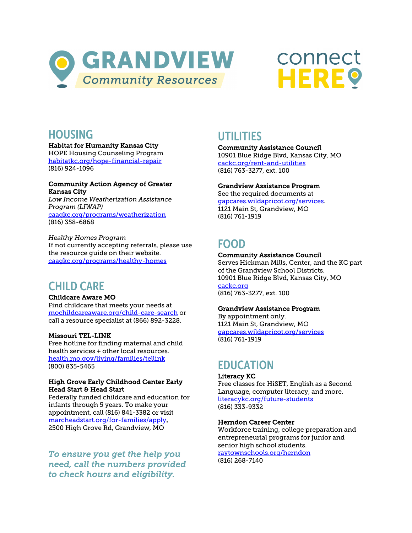



### **HOUSING**

Habitat for Humanity Kansas City

 HOPE Housing Counseling Program <u>habitatkc.org/hope-financial-repair</u><br>(816) 924-1096

### Community Action Agency of Greater Kansas City

 *Low Income Weatherization Assistance Program (LIWAP)*  [caagkc.org/programs/weatherization](https://caagkc.org/programs/weatherization/)  (816) 358-6868

 *Healthy Homes Program*  If not currently accepting referrals, please use the resource guide on their website. [caagkc.org/programs/healthy-homes](https://caagkc.org/programs/healthy-homes/) 

## CHILD CARE

### Childcare Aware MO

 Find childcare that meets your needs at call a resource specialist at (866) 892-3228. [mochildcareaware.org/child-care-search o](https://mochildcareaware.org/child-care-search/)r

### Missouri TEL-LINK

 Free hotline for finding maternal and child health services + other local resources. [health.mo.gov/living/families/tellink](https://health.mo.gov/living/families/tellink/)  (800) 835-5465

### High Grove Early Childhood Center Early Head Start & Head Start

 infants through 5 years. To make your appointment, call (816) 841-3382 or visit 2500 High Grove Rd, Grandview, MO Federally funded childcare and education for [marcheadstart.org/for-families/apply.](https://marcheadstart.org/for-families/apply/) 

 *need, call the numbers provided To ensure you get the help you to check hours and eligibility.* 

## UTILITIES

 10901 Blue Ridge Blvd, Kansas City, MO (816) 763-3277, ext. 100 Community Assistance Council [cackc.org/rent-and-utilities](https://www.cackc.org/rent-and-utilities.html) 

### Grandview Assistance Program

 1121 Main St, Grandview, MO See the required documents at [gapcares.wildapricot.org/services.](https://gapcares.wildapricot.org/services)  (816) 761-1919

# FOOD

### Community Assistance Council

 Serves Hickman Mills, Center, and the KC part of the Grandview School Districts. 10901 Blue Ridge Blvd, Kansas City, MO cackc.org <u>cackc.org</u><br>(816) 763-3277, ext. 100

### Grandview Assistance Program

 1121 Main St, Grandview, MO By appointment only. [gapcares.wildapricot.org/services](https://gapcares.wildapricot.org/services)  (816) 761-1919

# EDUCATION

### Literacy KC

 Free classes for HiSET, English as a Second Language, computer literacy, and more. <u>literacykc.org/future-students</u><br>(816) 333-9332

### Herndon Career Center

 Workforce training, college preparation and entrepreneurial programs for junior and senior high school students. <mark>raytownschools.org/herndon</mark><br>(816) 268-7140